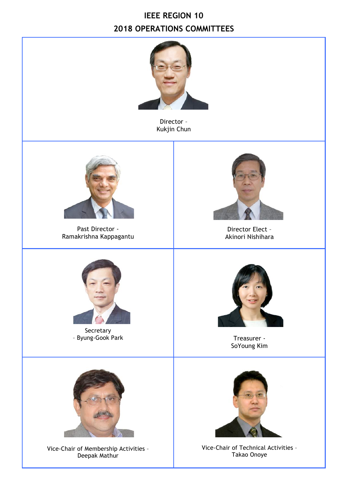## **IEEE REGION 10 2018 OPERATIONS COMMITTEES**



Director – Kukjin Chun



Past Director - Ramakrishna Kappagantu



Director Elect – Akinori Nishihara



Secretary – Byung-Gook Park Treasurer -



SoYoung Kim



Vice-Chair of Membership Activities – Deepak Mathur



Vice-Chair of Technical Activities – Takao Onoye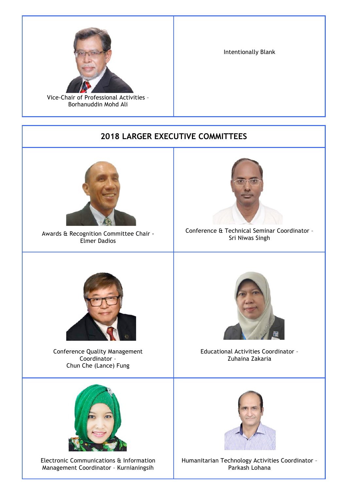

Vice-Chair of Professional Activities – Borhanuddin Mohd Ali

Intentionally Blank

## **2018 LARGER EXECUTIVE COMMITTEES**



Awards & Recognition Committee Chair - Elmer Dadios



Conference & Technical Seminar Coordinator – Sri Niwas Singh



Conference Quality Management Coordinator – Chun Che (Lance) Fung



Electronic Communications & Information Management Coordinator – Kurnianingsih



Educational Activities Coordinator – Zuhaina Zakaria



Humanitarian Technology Activities Coordinator – Parkash Lohana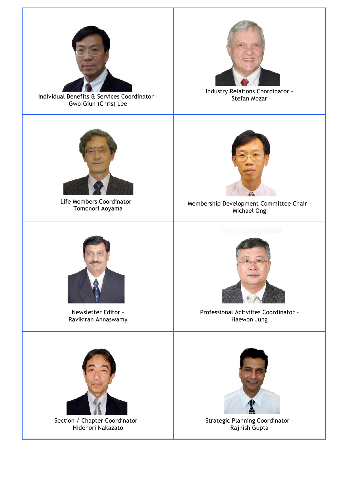

Individual Benefits & Services Coordinator – Gwo-Giun (Chris) Lee



Industry Relations Coordinator – Stefan Mozar



Life Members Coordinator -<br>Tomonori Aoyama



Membership Development Committee Chair -Michael Ong



Newsletter Editor – Ravikiran Annaswamy



Professional Activities Coordinator – Haewon Jung



Section / Chapter Coordinator – Hidenori Nakazato



Strategic Planning Coordinator – Rajnish Gupta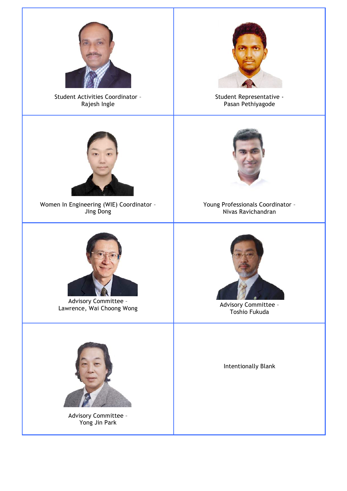

Student Activities Coordinator – Rajesh Ingle



Student Representative - Pasan Pethiyagode



Women In Engineering (WIE) Coordinator – Jing Dong



Advisory Committee – Advisory Committee -<br>
Lawrence, Wai Choong Wong **Advisory Committee -**



Advisory Committee – Yong Jin Park



Young Professionals Coordinator – Nivas Ravichandran



Toshio Fukuda

Intentionally Blank